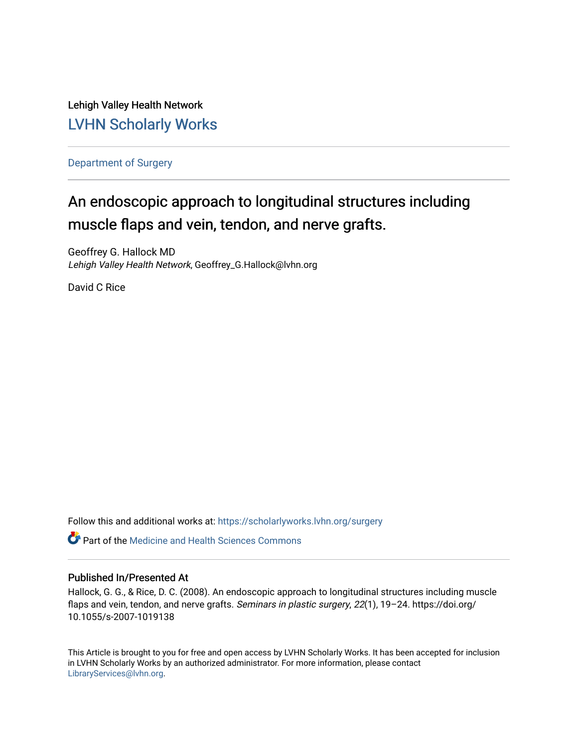Lehigh Valley Health Network [LVHN Scholarly Works](https://scholarlyworks.lvhn.org/)

[Department of Surgery](https://scholarlyworks.lvhn.org/surgery) 

# An endoscopic approach to longitudinal structures including muscle flaps and vein, tendon, and nerve grafts.

Geoffrey G. Hallock MD Lehigh Valley Health Network, Geoffrey\_G.Hallock@lvhn.org

David C Rice

Follow this and additional works at: [https://scholarlyworks.lvhn.org/surgery](https://scholarlyworks.lvhn.org/surgery?utm_source=scholarlyworks.lvhn.org%2Fsurgery%2F1758&utm_medium=PDF&utm_campaign=PDFCoverPages)

**C** Part of the Medicine and Health Sciences Commons

# Published In/Presented At

Hallock, G. G., & Rice, D. C. (2008). An endoscopic approach to longitudinal structures including muscle flaps and vein, tendon, and nerve grafts. Seminars in plastic surgery, 22(1), 19-24. https://doi.org/ 10.1055/s-2007-1019138

This Article is brought to you for free and open access by LVHN Scholarly Works. It has been accepted for inclusion in LVHN Scholarly Works by an authorized administrator. For more information, please contact [LibraryServices@lvhn.org](mailto:LibraryServices@lvhn.org).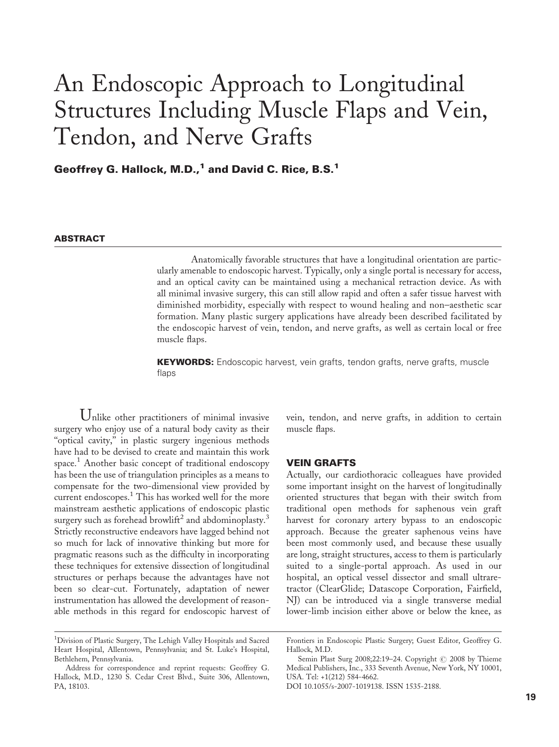# An Endoscopic Approach to Longitudinal Structures Including Muscle Flaps and Vein, Tendon, and Nerve Grafts

Geoffrey G. Hallock, M.D.,<sup>1</sup> and David C. Rice, B.S.<sup>1</sup>

# **ABSTRACT**

Anatomically favorable structures that have a longitudinal orientation are particularly amenable to endoscopic harvest. Typically, only a single portal is necessary for access, and an optical cavity can be maintained using a mechanical retraction device. As with all minimal invasive surgery, this can still allow rapid and often a safer tissue harvest with diminished morbidity, especially with respect to wound healing and non–aesthetic scar formation. Many plastic surgery applications have already been described facilitated by the endoscopic harvest of vein, tendon, and nerve grafts, as well as certain local or free muscle flaps.

**KEYWORDS:** Endoscopic harvest, vein grafts, tendon grafts, nerve grafts, muscle flaps

Unlike other practitioners of minimal invasive surgery who enjoy use of a natural body cavity as their "optical cavity," in plastic surgery ingenious methods have had to be devised to create and maintain this work space. <sup>1</sup> Another basic concept of traditional endoscopy has been the use of triangulation principles as a means to compensate for the two-dimensional view provided by current endoscopes.<sup>1</sup> This has worked well for the more mainstream aesthetic applications of endoscopic plastic surgery such as forehead browlift<sup>2</sup> and abdominoplasty.<sup>3</sup> Strictly reconstructive endeavors have lagged behind not so much for lack of innovative thinking but more for pragmatic reasons such as the difficulty in incorporating these techniques for extensive dissection of longitudinal structures or perhaps because the advantages have not been so clear-cut. Fortunately, adaptation of newer instrumentation has allowed the development of reasonable methods in this regard for endoscopic harvest of

vein, tendon, and nerve grafts, in addition to certain muscle flaps.

#### VEIN GRAFTS

Actually, our cardiothoracic colleagues have provided some important insight on the harvest of longitudinally oriented structures that began with their switch from traditional open methods for saphenous vein graft harvest for coronary artery bypass to an endoscopic approach. Because the greater saphenous veins have been most commonly used, and because these usually are long, straight structures, access to them is particularly suited to a single-portal approach. As used in our hospital, an optical vessel dissector and small ultraretractor (ClearGlide; Datascope Corporation, Fairfield, NJ) can be introduced via a single transverse medial lower-limb incision either above or below the knee, as

<sup>&</sup>lt;sup>1</sup>Division of Plastic Surgery, The Lehigh Valley Hospitals and Sacred Heart Hospital, Allentown, Pennsylvania; and St. Luke's Hospital, Bethlehem, Pennsylvania.

Address for correspondence and reprint requests: Geoffrey G. Hallock, M.D., 1230 S. Cedar Crest Blvd., Suite 306, Allentown, PA, 18103.

Frontiers in Endoscopic Plastic Surgery; Guest Editor, Geoffrey G. Hallock, M.D.

Semin Plast Surg 2008;22:19-24. Copyright © 2008 by Thieme Medical Publishers, Inc., 333 Seventh Avenue, New York, NY 10001, USA. Tel: +1(212) 584-4662.

DOI 10.1055/s-2007-1019138. ISSN 1535-2188.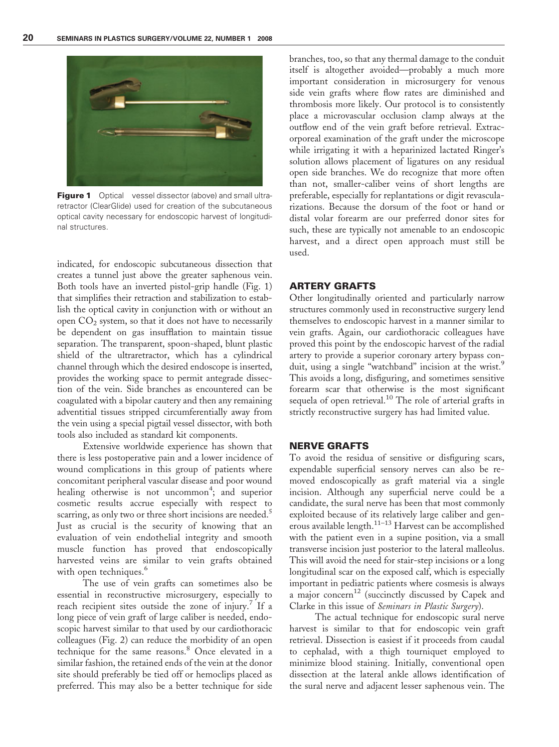

**Figure 1** Optical vessel dissector (above) and small ultraretractor (ClearGlide) used for creation of the subcutaneous optical cavity necessary for endoscopic harvest of longitudinal structures.

indicated, for endoscopic subcutaneous dissection that creates a tunnel just above the greater saphenous vein. Both tools have an inverted pistol-grip handle (Fig. 1) that simplifies their retraction and stabilization to establish the optical cavity in conjunction with or without an open  $CO<sub>2</sub>$  system, so that it does not have to necessarily be dependent on gas insufflation to maintain tissue separation. The transparent, spoon-shaped, blunt plastic shield of the ultraretractor, which has a cylindrical channel through which the desired endoscope is inserted, provides the working space to permit antegrade dissection of the vein. Side branches as encountered can be coagulated with a bipolar cautery and then any remaining adventitial tissues stripped circumferentially away from the vein using a special pigtail vessel dissector, with both tools also included as standard kit components.

Extensive worldwide experience has shown that there is less postoperative pain and a lower incidence of wound complications in this group of patients where concomitant peripheral vascular disease and poor wound healing otherwise is not uncommon<sup>4</sup>; and superior cosmetic results accrue especially with respect to scarring, as only two or three short incisions are needed.<sup>5</sup> Just as crucial is the security of knowing that an evaluation of vein endothelial integrity and smooth muscle function has proved that endoscopically harvested veins are similar to vein grafts obtained with open techniques.<sup>6</sup>

The use of vein grafts can sometimes also be essential in reconstructive microsurgery, especially to reach recipient sites outside the zone of injury.<sup>7</sup> If a long piece of vein graft of large caliber is needed, endoscopic harvest similar to that used by our cardiothoracic colleagues (Fig. 2) can reduce the morbidity of an open technique for the same reasons.<sup>8</sup> Once elevated in a similar fashion, the retained ends of the vein at the donor site should preferably be tied off or hemoclips placed as preferred. This may also be a better technique for side

branches, too, so that any thermal damage to the conduit itself is altogether avoided—probably a much more important consideration in microsurgery for venous side vein grafts where flow rates are diminished and thrombosis more likely. Our protocol is to consistently place a microvascular occlusion clamp always at the outflow end of the vein graft before retrieval. Extracorporeal examination of the graft under the microscope while irrigating it with a heparinized lactated Ringer's solution allows placement of ligatures on any residual open side branches. We do recognize that more often than not, smaller-caliber veins of short lengths are preferable, especially for replantations or digit revascularizations. Because the dorsum of the foot or hand or distal volar forearm are our preferred donor sites for such, these are typically not amenable to an endoscopic harvest, and a direct open approach must still be used.

# ARTERY GRAFTS

Other longitudinally oriented and particularly narrow structures commonly used in reconstructive surgery lend themselves to endoscopic harvest in a manner similar to vein grafts. Again, our cardiothoracic colleagues have proved this point by the endoscopic harvest of the radial artery to provide a superior coronary artery bypass conduit, using a single "watchband" incision at the wrist. This avoids a long, disfiguring, and sometimes sensitive forearm scar that otherwise is the most significant sequela of open retrieval.<sup>10</sup> The role of arterial grafts in strictly reconstructive surgery has had limited value.

# NERVE GRAFTS

To avoid the residua of sensitive or disfiguring scars, expendable superficial sensory nerves can also be removed endoscopically as graft material via a single incision. Although any superficial nerve could be a candidate, the sural nerve has been that most commonly exploited because of its relatively large caliber and generous available length.<sup>11–13</sup> Harvest can be accomplished with the patient even in a supine position, via a small transverse incision just posterior to the lateral malleolus. This will avoid the need for stair-step incisions or a long longitudinal scar on the exposed calf, which is especially important in pediatric patients where cosmesis is always a major concern<sup>12</sup> (succinctly discussed by Capek and Clarke in this issue of Seminars in Plastic Surgery).

The actual technique for endoscopic sural nerve harvest is similar to that for endoscopic vein graft retrieval. Dissection is easiest if it proceeds from caudal to cephalad, with a thigh tourniquet employed to minimize blood staining. Initially, conventional open dissection at the lateral ankle allows identification of the sural nerve and adjacent lesser saphenous vein. The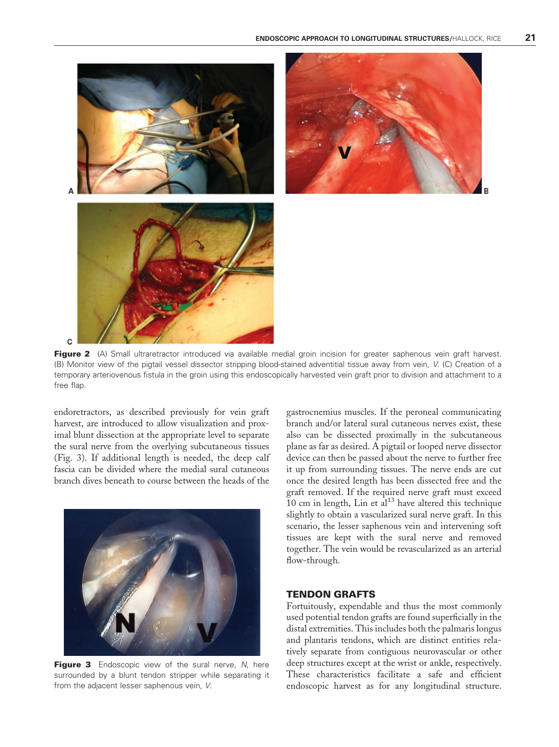

Figure 2 (A) Small ultraretractor introduced via available medial groin incision for greater saphenous vein graft harvest. (B) Monitor view of the pigtail vessel dissector stripping blood-stained adventitial tissue away from vein, V. (C) Creation of a temporary arteriovenous fistula in the groin using this endoscopically harvested vein graft prior to division and attachment to a free flap.

endoretractors, as described previously for vein graft harvest, are introduced to allow visualization and proximal blunt dissection at the appropriate level to separate the sural nerve from the overlying subcutaneous tissues (Fig. 3). If additional length is needed, the deep calf fascia can be divided where the medial sural cutaneous branch dives beneath to course between the heads of the



Figure 3 Endoscopic view of the sural nerve, N, here surrounded by a blunt tendon stripper while separating it from the adjacent lesser saphenous vein, V.

gastrocnemius muscles. If the peroneal communicating branch and/or lateral sural cutaneous nerves exist, these also can be dissected proximally in the subcutaneous plane as far as desired. A pigtail or looped nerve dissector device can then be passed about the nerve to further free it up from surrounding tissues. The nerve ends are cut once the desired length has been dissected free and the graft removed. If the required nerve graft must exceed  $10$  cm in length, Lin et al<sup>13</sup> have altered this technique slightly to obtain a vascularized sural nerve graft. In this scenario, the lesser saphenous vein and intervening soft tissues are kept with the sural nerve and removed together. The vein would be revascularized as an arterial flow-through.

# TENDON GRAFTS

Fortuitously, expendable and thus the most commonly used potential tendon grafts are found superficially in the distal extremities. This includes both the palmaris longus and plantaris tendons, which are distinct entities relatively separate from contiguous neurovascular or other deep structures except at the wrist or ankle, respectively. These characteristics facilitate a safe and efficient endoscopic harvest as for any longitudinal structure.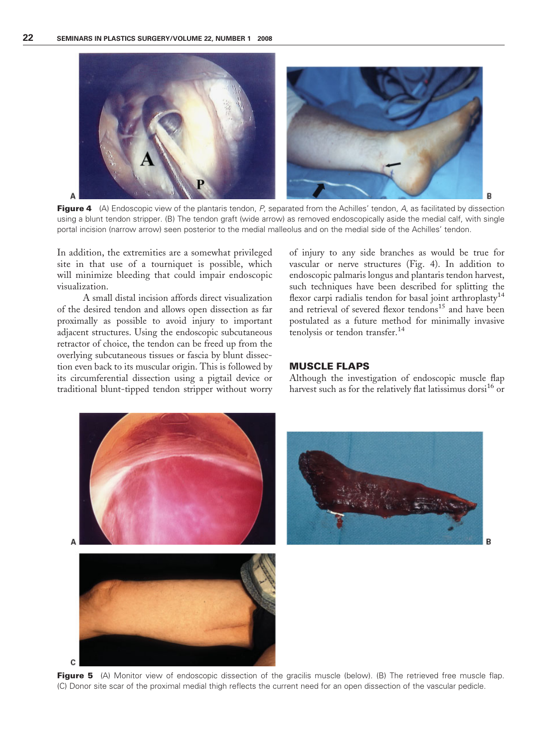

Figure 4 (A) Endoscopic view of the plantaris tendon, P, separated from the Achilles' tendon, A, as facilitated by dissection using a blunt tendon stripper. (B) The tendon graft (wide arrow) as removed endoscopically aside the medial calf, with single portal incision (narrow arrow) seen posterior to the medial malleolus and on the medial side of the Achilles' tendon.

In addition, the extremities are a somewhat privileged site in that use of a tourniquet is possible, which will minimize bleeding that could impair endoscopic visualization.

A small distal incision affords direct visualization of the desired tendon and allows open dissection as far proximally as possible to avoid injury to important adjacent structures. Using the endoscopic subcutaneous retractor of choice, the tendon can be freed up from the overlying subcutaneous tissues or fascia by blunt dissection even back to its muscular origin. This is followed by its circumferential dissection using a pigtail device or traditional blunt-tipped tendon stripper without worry of injury to any side branches as would be true for vascular or nerve structures (Fig. 4). In addition to endoscopic palmaris longus and plantaris tendon harvest, such techniques have been described for splitting the flexor carpi radialis tendon for basal joint arthroplasty<sup>14</sup> and retrieval of severed flexor tendons<sup>15</sup> and have been postulated as a future method for minimally invasive tenolysis or tendon transfer.<sup>14</sup>

# MUSCLE FLAPS

Although the investigation of endoscopic muscle flap harvest such as for the relatively flat latissimus dorsi<sup>16</sup> or



Figure 5 (A) Monitor view of endoscopic dissection of the gracilis muscle (below). (B) The retrieved free muscle flap. (C) Donor site scar of the proximal medial thigh reflects the current need for an open dissection of the vascular pedicle.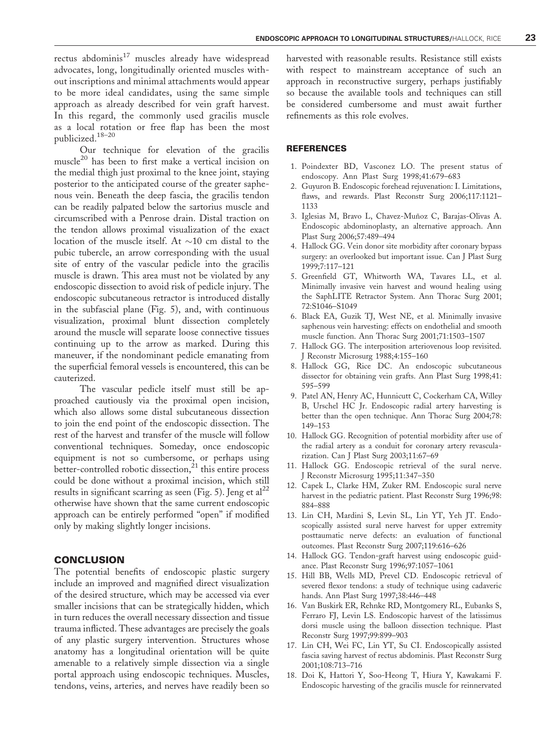rectus abdominis $17$  muscles already have widespread advocates, long, longitudinally oriented muscles without inscriptions and minimal attachments would appear to be more ideal candidates, using the same simple approach as already described for vein graft harvest. In this regard, the commonly used gracilis muscle as a local rotation or free flap has been the most publicized.18–20

Our technique for elevation of the gracilis muscle<sup>20</sup> has been to first make a vertical incision on the medial thigh just proximal to the knee joint, staying posterior to the anticipated course of the greater saphenous vein. Beneath the deep fascia, the gracilis tendon can be readily palpated below the sartorius muscle and circumscribed with a Penrose drain. Distal traction on the tendon allows proximal visualization of the exact location of the muscle itself. At  $\sim$ 10 cm distal to the pubic tubercle, an arrow corresponding with the usual site of entry of the vascular pedicle into the gracilis muscle is drawn. This area must not be violated by any endoscopic dissection to avoid risk of pedicle injury. The endoscopic subcutaneous retractor is introduced distally in the subfascial plane (Fig. 5), and, with continuous visualization, proximal blunt dissection completely around the muscle will separate loose connective tissues continuing up to the arrow as marked. During this maneuver, if the nondominant pedicle emanating from the superficial femoral vessels is encountered, this can be cauterized.

The vascular pedicle itself must still be approached cautiously via the proximal open incision, which also allows some distal subcutaneous dissection to join the end point of the endoscopic dissection. The rest of the harvest and transfer of the muscle will follow conventional techniques. Someday, once endoscopic equipment is not so cumbersome, or perhaps using better-controlled robotic dissection, $^{21}$  this entire process could be done without a proximal incision, which still results in significant scarring as seen (Fig. 5). Jeng et  $al^{22}$ otherwise have shown that the same current endoscopic approach can be entirely performed "open" if modified only by making slightly longer incisions.

#### **CONCLUSION**

The potential benefits of endoscopic plastic surgery include an improved and magnified direct visualization of the desired structure, which may be accessed via ever smaller incisions that can be strategically hidden, which in turn reduces the overall necessary dissection and tissue trauma inflicted. These advantages are precisely the goals of any plastic surgery intervention. Structures whose anatomy has a longitudinal orientation will be quite amenable to a relatively simple dissection via a single portal approach using endoscopic techniques. Muscles, tendons, veins, arteries, and nerves have readily been so harvested with reasonable results. Resistance still exists with respect to mainstream acceptance of such an approach in reconstructive surgery, perhaps justifiably so because the available tools and techniques can still be considered cumbersome and must await further refinements as this role evolves.

# **REFERENCES**

- 1. Poindexter BD, Vasconez LO. The present status of endoscopy. Ann Plast Surg 1998;41:679–683
- 2. Guyuron B. Endoscopic forehead rejuvenation: I. Limitations, flaws, and rewards. Plast Reconstr Surg 2006;117:1121– 1133
- 3. Iglesias M, Bravo L, Chavez-Muñoz C, Barajas-Olivas A. Endoscopic abdominoplasty, an alternative approach. Ann Plast Surg 2006;57:489–494
- 4. Hallock GG. Vein donor site morbidity after coronary bypass surgery: an overlooked but important issue. Can J Plast Surg 1999;7:117–121
- 5. Greenfield GT, Whitworth WA, Tavares LL, et al. Minimally invasive vein harvest and wound healing using the SaphLITE Retractor System. Ann Thorac Surg 2001; 72:S1046–S1049
- 6. Black EA, Guzik TJ, West NE, et al. Minimally invasive saphenous vein harvesting: effects on endothelial and smooth muscle function. Ann Thorac Surg 2001;71:1503–1507
- 7. Hallock GG. The interposition arteriovenous loop revisited. J Reconstr Microsurg 1988;4:155–160
- 8. Hallock GG, Rice DC. An endoscopic subcutaneous dissector for obtaining vein grafts. Ann Plast Surg 1998;41: 595–599
- 9. Patel AN, Henry AC, Hunnicutt C, Cockerham CA, Willey B, Urschel HC Jr. Endoscopic radial artery harvesting is better than the open technique. Ann Thorac Surg 2004;78: 149–153
- 10. Hallock GG. Recognition of potential morbidity after use of the radial artery as a conduit for coronary artery revascularization. Can J Plast Surg 2003;11:67–69
- 11. Hallock GG. Endoscopic retrieval of the sural nerve. J Reconstr Microsurg 1995;11:347–350
- 12. Capek L, Clarke HM, Zuker RM. Endoscopic sural nerve harvest in the pediatric patient. Plast Reconstr Surg 1996;98: 884–888
- 13. Lin CH, Mardini S, Levin SL, Lin YT, Yeh JT. Endoscopically assisted sural nerve harvest for upper extremity posttaumatic nerve defects: an evaluation of functional outcomes. Plast Reconstr Surg 2007;119:616–626
- 14. Hallock GG. Tendon-graft harvest using endoscopic guidance. Plast Reconstr Surg 1996;97:1057–1061
- 15. Hill BB, Wells MD, Prevel CD. Endoscopic retrieval of severed flexor tendons: a study of technique using cadaveric hands. Ann Plast Surg 1997;38:446–448
- 16. Van Buskirk ER, Rehnke RD, Montgomery RL, Eubanks S, Ferraro FJ, Levin LS. Endoscopic harvest of the latissimus dorsi muscle using the balloon dissection technique. Plast Reconstr Surg 1997;99:899–903
- 17. Lin CH, Wei FC, Lin YT, Su CI. Endoscopically assisted fascia saving harvest of rectus abdominis. Plast Reconstr Surg 2001;108:713–716
- 18. Doi K, Hattori Y, Soo-Heong T, Hiura Y, Kawakami F. Endoscopic harvesting of the gracilis muscle for reinnervated